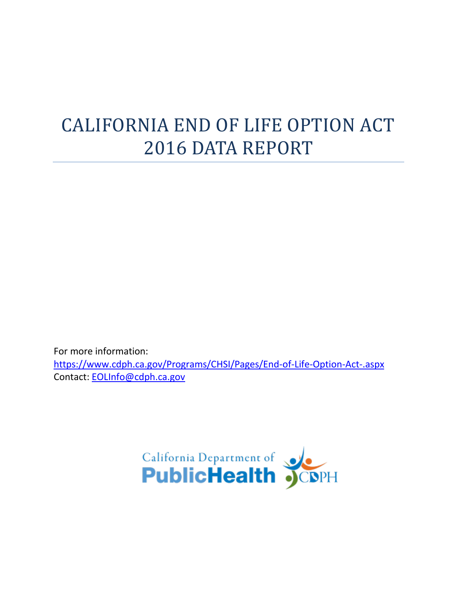# CALIFORNIA END OF LIFE OPTION ACT 2016 DATA REPORT

For more information: <https://www.cdph.ca.gov/Programs/CHSI/Pages/End-of-Life-Option-Act-.aspx> Contact: [EOLInfo@cdph.ca.gov](mailto:EOLInfo@cdph.ca.gov)

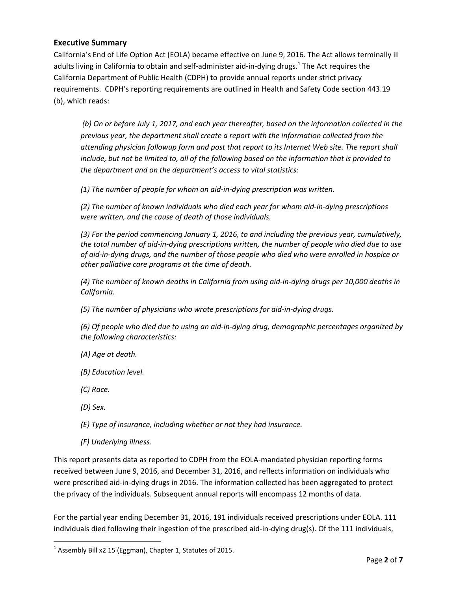#### **Executive Summary**

California's End of Life Option Act (EOLA) became effective on June 9, 2016. The Act allows terminally ill adults living in California to obtain and self-administer aid-in-dying drugs.<sup>1</sup> The Act requires the California Department of Public Health (CDPH) to provide annual reports under strict privacy requirements. CDPH's reporting requirements are outlined in Health and Safety Code section 443.19 (b), which reads:

*(b) On or before July 1, 2017, and each year thereafter, based on the information collected in the previous year, the department shall create a report with the information collected from the attending physician followup form and post that report to its Internet Web site. The report shall include, but not be limited to, all of the following based on the information that is provided to the department and on the department's access to vital statistics:*

*(1) The number of people for whom an aid-in-dying prescription was written.*

*(2) The number of known individuals who died each year for whom aid-in-dying prescriptions were written, and the cause of death of those individuals.*

*(3) For the period commencing January 1, 2016, to and including the previous year, cumulatively, the total number of aid-in-dying prescriptions written, the number of people who died due to use of aid-in-dying drugs, and the number of those people who died who were enrolled in hospice or other palliative care programs at the time of death.*

*(4) The number of known deaths in California from using aid-in-dying drugs per 10,000 deaths in California.*

*(5) The number of physicians who wrote prescriptions for aid-in-dying drugs.*

*(6) Of people who died due to using an aid-in-dying drug, demographic percentages organized by the following characteristics:*

*(A) Age at death.*

- *(B) Education level.*
- *(C) Race.*
- *(D) Sex.*

 $\overline{a}$ 

*(E) Type of insurance, including whether or not they had insurance.*

*(F) Underlying illness.*

This report presents data as reported to CDPH from the EOLA-mandated physician reporting forms received between June 9, 2016, and December 31, 2016, and reflects information on individuals who were prescribed aid-in-dying drugs in 2016. The information collected has been aggregated to protect the privacy of the individuals. Subsequent annual reports will encompass 12 months of data.

For the partial year ending December 31, 2016, 191 individuals received prescriptions under EOLA. 111 individuals died following their ingestion of the prescribed aid-in-dying drug(s). Of the 111 individuals,

 $^1$  Assembly Bill x2 15 (Eggman), Chapter 1, Statutes of 2015.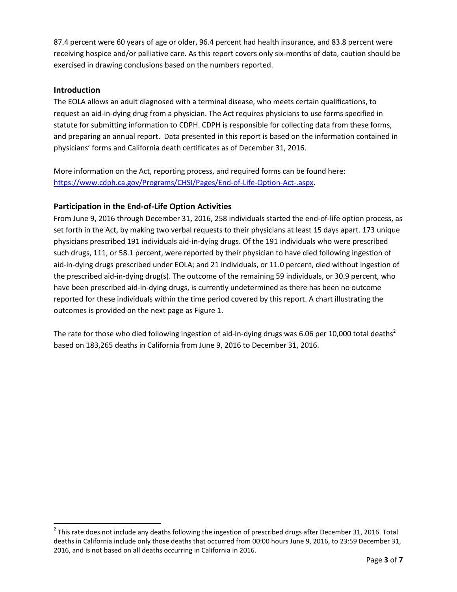87.4 percent were 60 years of age or older, 96.4 percent had health insurance, and 83.8 percent were receiving hospice and/or palliative care. As this report covers only six-months of data, caution should be exercised in drawing conclusions based on the numbers reported.

#### **Introduction**

 $\overline{\phantom{a}}$ 

The EOLA allows an adult diagnosed with a terminal disease, who meets certain qualifications, to request an aid-in-dying drug from a physician. The Act requires physicians to use forms specified in statute for submitting information to CDPH. CDPH is responsible for collecting data from these forms, and preparing an annual report. Data presented in this report is based on the information contained in physicians' forms and California death certificates as of December 31, 2016.

More information on the Act, reporting process, and required forms can be found here: [https://www.cdph.ca.gov/Programs/CHSI/Pages/End-of-Life-Option-Act-.aspx.](https://www.cdph.ca.gov/Programs/CHSI/Pages/End-of-Life-Option-Act-.aspx)

#### **Participation in the End-of-Life Option Activities**

From June 9, 2016 through December 31, 2016, 258 individuals started the end-of-life option process, as set forth in the Act, by making two verbal requests to their physicians at least 15 days apart. 173 unique physicians prescribed 191 individuals aid-in-dying drugs. Of the 191 individuals who were prescribed such drugs, 111, or 58.1 percent, were reported by their physician to have died following ingestion of aid-in-dying drugs prescribed under EOLA; and 21 individuals, or 11.0 percent, died without ingestion of the prescribed aid-in-dying drug(s). The outcome of the remaining 59 individuals, or 30.9 percent, who have been prescribed aid-in-dying drugs, is currently undetermined as there has been no outcome reported for these individuals within the time period covered by this report. A chart illustrating the outcomes is provided on the next page as Figure 1.

The rate for those who died following ingestion of aid-in-dying drugs was 6.06 per 10,000 total deaths<sup>2</sup> based on 183,265 deaths in California from June 9, 2016 to December 31, 2016.

 $^2$  This rate does not include any deaths following the ingestion of prescribed drugs after December 31, 2016. Total deaths in California include only those deaths that occurred from 00:00 hours June 9, 2016, to 23:59 December 31, 2016, and is not based on all deaths occurring in California in 2016.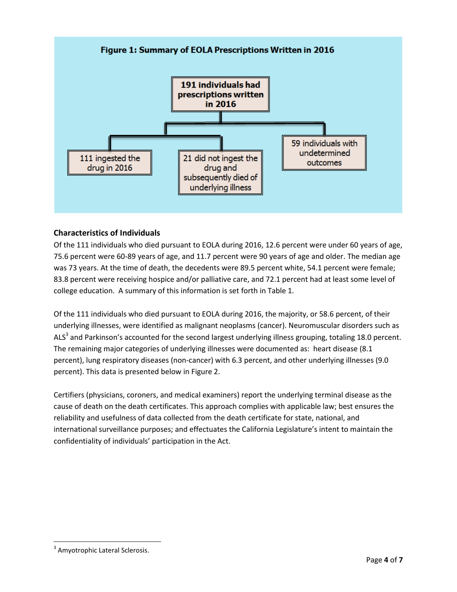

### **Characteristics of Individuals**

Of the 111 individuals who died pursuant to EOLA during 2016, 12.6 percent were under 60 years of age, 75.6 percent were 60-89 years of age, and 11.7 percent were 90 years of age and older. The median age was 73 years. At the time of death, the decedents were 89.5 percent white, 54.1 percent were female; 83.8 percent were receiving hospice and/or palliative care, and 72.1 percent had at least some level of college education. A summary of this information is set forth in Table 1.

Of the 111 individuals who died pursuant to EOLA during 2016, the majority, or 58.6 percent, of their underlying illnesses, were identified as malignant neoplasms (cancer). Neuromuscular disorders such as ALS<sup>3</sup> and Parkinson's accounted for the second largest underlying illness grouping, totaling 18.0 percent. The remaining major categories of underlying illnesses were documented as: heart disease (8.1 percent), lung respiratory diseases (non-cancer) with 6.3 percent, and other underlying illnesses (9.0 percent). This data is presented below in Figure 2.

Certifiers (physicians, coroners, and medical examiners) report the underlying terminal disease as the cause of death on the death certificates. This approach complies with applicable law; best ensures the reliability and usefulness of data collected from the death certificate for state, national, and international surveillance purposes; and effectuates the California Legislature's intent to maintain the confidentiality of individuals' participation in the Act.

 $\overline{a}$ <sup>3</sup> Amyotrophic Lateral Sclerosis.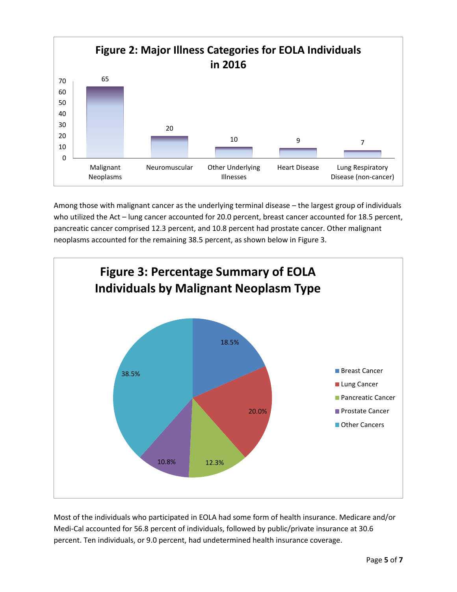

Among those with malignant cancer as the underlying terminal disease – the largest group of individuals who utilized the Act – lung cancer accounted for 20.0 percent, breast cancer accounted for 18.5 percent, pancreatic cancer comprised 12.3 percent, and 10.8 percent had prostate cancer. Other malignant neoplasms accounted for the remaining 38.5 percent, as shown below in Figure 3.



Most of the individuals who participated in EOLA had some form of health insurance. Medicare and/or Medi-Cal accounted for 56.8 percent of individuals, followed by public/private insurance at 30.6 percent. Ten individuals, or 9.0 percent, had undetermined health insurance coverage.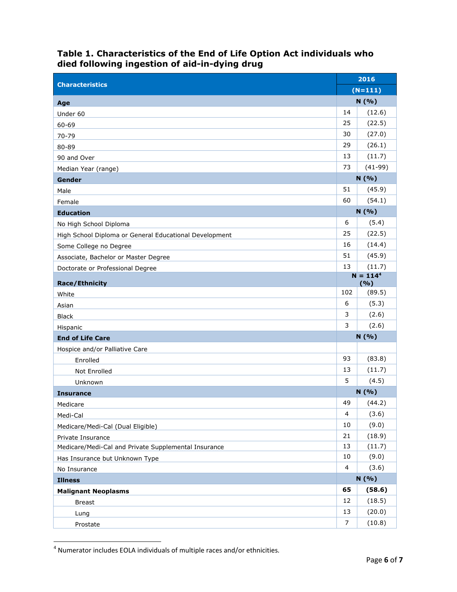## **Table 1. Characteristics of the End of Life Option Act individuals who died following ingestion of aid-in-dying drug**

|                                                        | 2016<br>$(N=111)$ |           |
|--------------------------------------------------------|-------------------|-----------|
| <b>Characteristics</b>                                 |                   |           |
| Age                                                    | N (%)             |           |
| Under 60                                               | 14                | (12.6)    |
| 60-69                                                  | 25                | (22.5)    |
| 70-79                                                  | 30                | (27.0)    |
| 80-89                                                  | 29                | (26.1)    |
| 90 and Over                                            | 13                | (11.7)    |
| Median Year (range)                                    | 73                | $(41-99)$ |
| Gender                                                 | N(%)              |           |
| Male                                                   | 51                | (45.9)    |
| Female                                                 | 60                | (54.1)    |
| <b>Education</b>                                       |                   | N (%)     |
| No High School Diploma                                 | 6                 | (5.4)     |
| High School Diploma or General Educational Development | 25                | (22.5)    |
| Some College no Degree                                 | 16                | (14.4)    |
| Associate, Bachelor or Master Degree                   | 51                | (45.9)    |
| Doctorate or Professional Degree                       | 13                | (11.7)    |
| <b>Race/Ethnicity</b>                                  | $N = 1144$<br>(%) |           |
| White                                                  | 102               | (89.5)    |
| Asian                                                  | 6                 | (5.3)     |
| <b>Black</b>                                           | 3                 | (2.6)     |
| Hispanic                                               | 3                 | (2.6)     |
| <b>End of Life Care</b>                                | N (%)             |           |
| Hospice and/or Palliative Care                         |                   |           |
| Enrolled                                               | 93                | (83.8)    |
| Not Enrolled                                           | 13                | (11.7)    |
| Unknown                                                | 5                 | (4.5)     |
| <b>Insurance</b>                                       | N(%)              |           |
| Medicare                                               | 49                | (44.2)    |
| Medi-Cal                                               | 4                 | (3.6)     |
| Medicare/Medi-Cal (Dual Eligible)                      | 10                | (9.0)     |
| Private Insurance                                      | 21                | (18.9)    |
| Medicare/Medi-Cal and Private Supplemental Insurance   | 13                | (11.7)    |
| Has Insurance but Unknown Type                         | 10                | (9.0)     |
| No Insurance                                           | 4                 | (3.6)     |
| <b>Illness</b>                                         | N(%)              |           |
| <b>Malignant Neoplasms</b>                             | 65                | (58.6)    |
| <b>Breast</b>                                          | 12                | (18.5)    |
| Lung                                                   | 13                | (20.0)    |
| Prostate                                               | 7                 | (10.8)    |

 4 Numerator includes EOLA individuals of multiple races and/or ethnicities.